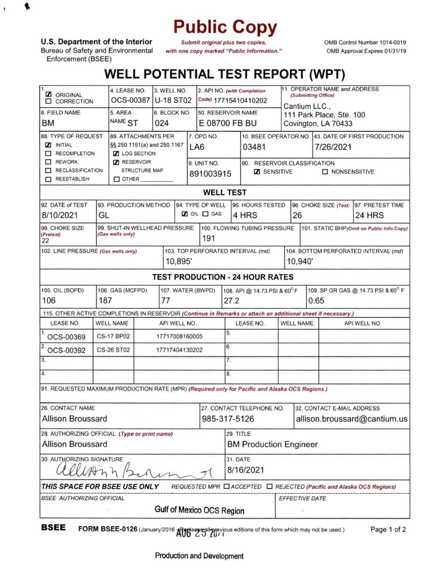## **Public Copy**

**U.S. Department of the Interior**

**, i**

Bureau of Safety and Environmental Enforcement (BSEE)

*Submit original plus two copies, with one copy marked "Public Information.* OMB Control Number 1014-0019 OMB Approval Expires 01/31/19

## **WELL POTENTIAL TEST REPORT (WPT)**

| 11.<br><b>Z</b> ORIGINAL<br><b>O CORRECTION</b>                                                              | 4. LEASE NO.<br>OCS-00387   |                     | 3. WELL NO.<br><b>U-18 ST02</b> |                       |                 | 2. API NO. (with Completion<br>Code) 17715410410202 |                                                                            |                              |                                                    | 11. OPERATOR NAME and ADDRESS<br>(Submitting Office) |                                    |                       |  |  |
|--------------------------------------------------------------------------------------------------------------|-----------------------------|---------------------|---------------------------------|-----------------------|-----------------|-----------------------------------------------------|----------------------------------------------------------------------------|------------------------------|----------------------------------------------------|------------------------------------------------------|------------------------------------|-----------------------|--|--|
| 8. FIELD NAME                                                                                                | 5. AREA                     |                     | 6. BLOCK NO.                    |                       |                 | 50. RESERVOIR NAME                                  |                                                                            |                              | Cantium LLC.,<br>111 Park Place, Ste. 100          |                                                      |                                    |                       |  |  |
| <b>BM</b>                                                                                                    | NAME <sub>ST</sub><br>024   |                     |                                 | E 08700 FB BU         |                 |                                                     |                                                                            |                              | Covington, LA 70433                                |                                                      |                                    |                       |  |  |
| 88. TYPE OF REQUEST                                                                                          |                             | 89. ATTACHMENTS PER |                                 |                       |                 | 7. OPD NO.                                          |                                                                            |                              | 10. BSEE OPERATOR NO. 43. DATE OF FIRST PRODUCTION |                                                      |                                    |                       |  |  |
| <b>NITIAL</b>                                                                                                | §§ 250.1151(a) and 250.1167 |                     |                                 |                       |                 | LA <sub>6</sub>                                     |                                                                            | 03481                        |                                                    | 7/26/2021                                            |                                    |                       |  |  |
| RECOMPLETION                                                                                                 | <b>Z</b> LOG SECTION        |                     |                                 |                       |                 |                                                     |                                                                            |                              |                                                    |                                                      |                                    |                       |  |  |
| REWORK                                                                                                       | RESERVOIR                   |                     |                                 |                       | 9. UNIT NO.     |                                                     |                                                                            | 90. RESERVOIR CLASSIFICATION |                                                    |                                                      |                                    |                       |  |  |
| RECLASSIFICATION                                                                                             | STRUCTURE MAP               |                     |                                 | 891003915             |                 |                                                     | <b>Z</b> SENSITIVE<br><b>NONSENSIITIVE</b>                                 |                              |                                                    |                                                      |                                    |                       |  |  |
| REESTABLISH<br>$\square$ OTHER                                                                               |                             |                     |                                 |                       |                 |                                                     |                                                                            |                              |                                                    |                                                      |                                    |                       |  |  |
| <b>WELL TEST</b>                                                                                             |                             |                     |                                 |                       |                 |                                                     |                                                                            |                              |                                                    |                                                      |                                    |                       |  |  |
| 94. TYPE OF WELL<br>92. DATE of TEST<br>93. PRODUCTION METHOD<br>95. HOURS TESTED<br>96. CHOKE SIZE (Test)   |                             |                     |                                 |                       |                 |                                                     |                                                                            |                              |                                                    | 97. PRETEST TIME                                     |                                    |                       |  |  |
| 8/10/2021                                                                                                    | GL                          |                     |                                 | $\Box$ OIL $\Box$ GAS |                 | 4 HRS                                               |                                                                            |                              | 26                                                 |                                                      | 24 HRS                             |                       |  |  |
| 99. SHUT-IN WELLHEAD PRESSURE<br>98. CHOKE SIZE<br>(Gas wells only)<br>(Pretest)<br>22                       |                             |                     |                                 |                       |                 | 191                                                 | 100. FLOWING TUBING PRESSURE<br>101. STATIC BHP (Omit on Public Info.Copy) |                              |                                                    |                                                      |                                    |                       |  |  |
| 102. LINE PRESSURE (Gas wells only)                                                                          |                             |                     |                                 |                       |                 | 103. TOP PERFORATED INTERVAL (md)                   |                                                                            |                              | 104. BOTTOM PERFORATED INTERVAL (md)               |                                                      |                                    |                       |  |  |
|                                                                                                              | 10,895'                     |                     |                                 |                       |                 |                                                     |                                                                            |                              |                                                    | 10,940'                                              |                                    |                       |  |  |
| <b>TEST PRODUCTION - 24 HOUR RATES</b>                                                                       |                             |                     |                                 |                       |                 |                                                     |                                                                            |                              |                                                    |                                                      |                                    |                       |  |  |
| 105. OIL (BOPD)<br>106. GAS (MCFPD)<br>107. WATER (BWPD)                                                     |                             |                     |                                 |                       |                 |                                                     |                                                                            | 108. API @ 14.73 PSI & 60°F  |                                                    |                                                      | 109. SP GR GAS @ 14.73 PSI & 60° F |                       |  |  |
| 106<br>187<br>77                                                                                             |                             |                     |                                 |                       |                 |                                                     |                                                                            | 27.2                         |                                                    | 0.65                                                 |                                    |                       |  |  |
| 115. OTHER ACTIVE COMPLETIONS IN RESERVOIR (Continue in Remarks or attach an additional sheet if necessary.) |                             |                     |                                 |                       |                 |                                                     |                                                                            |                              |                                                    |                                                      |                                    |                       |  |  |
| LEASE NO.<br><b>WELL NAME</b>                                                                                |                             |                     |                                 |                       | API WELL NO.    |                                                     |                                                                            |                              | <b>LEASE NO.</b>                                   |                                                      | <b>WELL NAME</b>                   | API WELL NO.          |  |  |
| <b>CS-17 BP02</b><br>OCS-00369                                                                               |                             |                     |                                 | 17717008160005        |                 |                                                     |                                                                            | 5.                           |                                                    |                                                      |                                    |                       |  |  |
| OCS-00392                                                                                                    | <b>CS-26 ST02</b>           | 17717404130202      |                                 |                       | $6\overline{6}$ |                                                     |                                                                            |                              |                                                    |                                                      |                                    |                       |  |  |
| 3.                                                                                                           |                             |                     |                                 |                       |                 |                                                     |                                                                            | 7.                           |                                                    |                                                      |                                    |                       |  |  |
| $\overline{4}$ .                                                                                             |                             |                     |                                 |                       |                 |                                                     |                                                                            | 8.                           |                                                    |                                                      |                                    |                       |  |  |
| 91. REQUESTED MAXIMUM PRODUCTION RATE (MPR) (Required only for Pacific and Alaska OCS Regions.)              |                             |                     |                                 |                       |                 |                                                     |                                                                            |                              |                                                    |                                                      |                                    |                       |  |  |
| <b>26. CONTACT NAME</b>                                                                                      |                             |                     |                                 |                       |                 |                                                     |                                                                            |                              | 27. CONTACT TELEPHONE NO.                          |                                                      | 32. CONTACT E-MAIL ADDRESS         |                       |  |  |
| <b>Allison Broussard</b>                                                                                     |                             |                     |                                 |                       |                 |                                                     | 985-317-5126                                                               |                              |                                                    | allison.broussard@cantium.us                         |                                    |                       |  |  |
| 29. TITLE<br>28. AUTHORIZING OFFICIAL (Type or print name)                                                   |                             |                     |                                 |                       |                 |                                                     |                                                                            |                              |                                                    |                                                      |                                    |                       |  |  |
| <b>Allison Broussard</b>                                                                                     |                             |                     |                                 |                       |                 |                                                     | <b>BM Production Engineer</b>                                              |                              |                                                    |                                                      |                                    |                       |  |  |
| 30. AUTHORIZING SIGNATURE<br>$\n  1$                                                                         |                             |                     |                                 |                       |                 |                                                     |                                                                            | <b>31. DATE</b><br>8/16/2021 |                                                    |                                                      |                                    |                       |  |  |
| THIS SPACE FOR BSEE USE ONLY<br>REQUESTED MPR □ ACCEPTED □ REJECTED (Pacific and Alaska OCS Regions)         |                             |                     |                                 |                       |                 |                                                     |                                                                            |                              |                                                    |                                                      |                                    |                       |  |  |
| <b>BSEE AUTHORIZING OFFICIAL</b>                                                                             |                             |                     |                                 |                       |                 |                                                     |                                                                            |                              |                                                    |                                                      |                                    | <b>EFFECTIVE DATE</b> |  |  |
| Gulf of Mexico OCS Region                                                                                    |                             |                     |                                 |                       |                 |                                                     |                                                                            |                              |                                                    |                                                      |                                    |                       |  |  |

**BSEE** FORM BSEE-0126 (January/2016 Alter as all previous editions of this form which may not be used.) Page 1 of 2